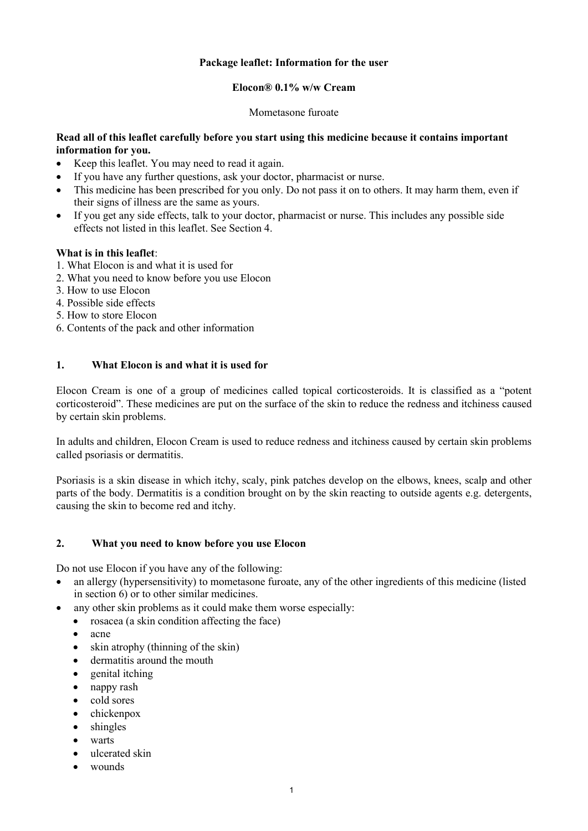## **Package leaflet: Information for the user**

### **Elocon® 0.1% w/w Cream**

Mometasone furoate

## **Read all of this leaflet carefully before you start using this medicine because it contains important information for you.**

- Keep this leaflet. You may need to read it again.
- If you have any further questions, ask your doctor, pharmacist or nurse.
- This medicine has been prescribed for you only. Do not pass it on to others. It may harm them, even if their signs of illness are the same as yours.
- If you get any side effects, talk to your doctor, pharmacist or nurse. This includes any possible side effects not listed in this leaflet. See Section 4.

## **What is in this leaflet**:

- 1. What Elocon is and what it is used for
- 2. What you need to know before you use Elocon
- 3. How to use Elocon
- 4. Possible side effects
- 5. How to store Elocon
- 6. Contents of the pack and other information

# **1. What Elocon is and what it is used for**

Elocon Cream is one of a group of medicines called topical corticosteroids. It is classified as a "potent corticosteroid". These medicines are put on the surface of the skin to reduce the redness and itchiness caused by certain skin problems.

In adults and children, Elocon Cream is used to reduce redness and itchiness caused by certain skin problems called psoriasis or dermatitis.

Psoriasis is a skin disease in which itchy, scaly, pink patches develop on the elbows, knees, scalp and other parts of the body. Dermatitis is a condition brought on by the skin reacting to outside agents e.g. detergents, causing the skin to become red and itchy.

### **2. What you need to know before you use Elocon**

Do not use Elocon if you have any of the following:

- an allergy (hypersensitivity) to mometasone furoate, any of the other ingredients of this medicine (listed in section 6) or to other similar medicines.
- any other skin problems as it could make them worse especially:
	- rosacea (a skin condition affecting the face)
	- acne
	- skin atrophy (thinning of the skin)
	- dermatitis around the mouth
	- genital itching
	- nappy rash
	- cold sores
	- chickenpox
	- shingles
	- warts
	- ulcerated skin
	- wounds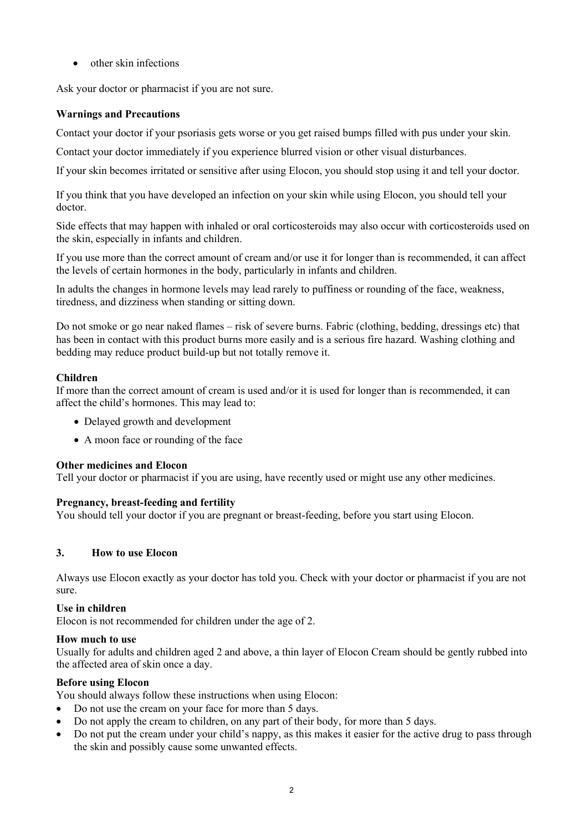• other skin infections

Ask your doctor or pharmacist if you are not sure.

# **Warnings and Precautions**

Contact your doctor if your psoriasis gets worse or you get raised bumps filled with pus under your skin.

Contact your doctor immediately if you experience blurred vision or other visual disturbances.

If your skin becomes irritated or sensitive after using Elocon, you should stop using it and tell your doctor.

If you think that you have developed an infection on your skin while using Elocon, you should tell your doctor.

Side effects that may happen with inhaled or oral corticosteroids may also occur with corticosteroids used on the skin, especially in infants and children.

If you use more than the correct amount of cream and/or use it for longer than is recommended, it can affect the levels of certain hormones in the body, particularly in infants and children.

In adults the changes in hormone levels may lead rarely to puffiness or rounding of the face, weakness, tiredness, and dizziness when standing or sitting down.

Do not smoke or go near naked flames – risk of severe burns. Fabric (clothing, bedding, dressings etc) that has been in contact with this product burns more easily and is a serious fire hazard. Washing clothing and bedding may reduce product build-up but not totally remove it.

## **Children**

If more than the correct amount of cream is used and/or it is used for longer than is recommended, it can affect the child's hormones. This may lead to:

- Delayed growth and development
- A moon face or rounding of the face

### **Other medicines and Elocon**

Tell your doctor or pharmacist if you are using, have recently used or might use any other medicines.

### **Pregnancy, breast-feeding and fertility**

You should tell your doctor if you are pregnant or breast-feeding, before you start using Elocon.

### **3. How to use Elocon**

Always use Elocon exactly as your doctor has told you. Check with your doctor or pharmacist if you are not sure.

### **Use in children**

Elocon is not recommended for children under the age of 2.

### **How much to use**

Usually for adults and children aged 2 and above, a thin layer of Elocon Cream should be gently rubbed into the affected area of skin once a day.

### **Before using Elocon**

You should always follow these instructions when using Elocon:

- Do not use the cream on your face for more than 5 days.
- Do not apply the cream to children, on any part of their body, for more than 5 days.
- Do not put the cream under your child's nappy, as this makes it easier for the active drug to pass through the skin and possibly cause some unwanted effects.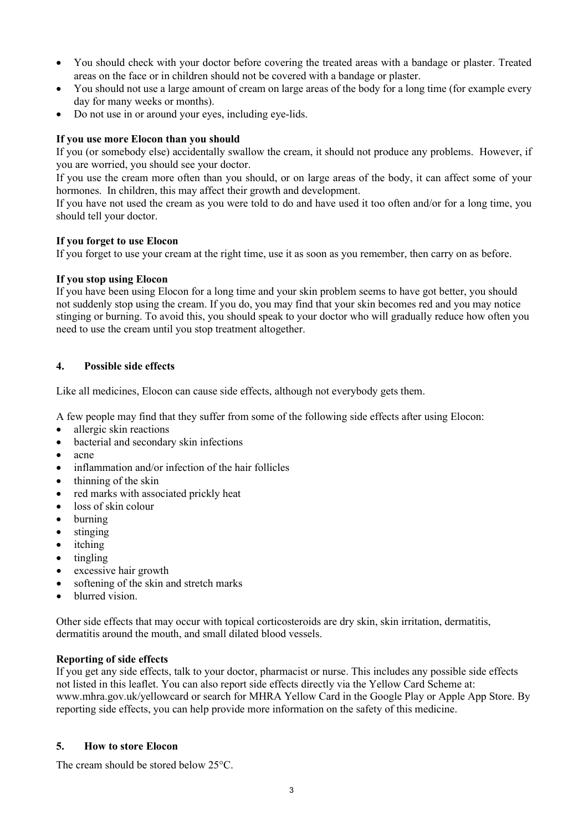- You should check with your doctor before covering the treated areas with a bandage or plaster. Treated areas on the face or in children should not be covered with a bandage or plaster.
- You should not use a large amount of cream on large areas of the body for a long time (for example every day for many weeks or months).
- Do not use in or around your eyes, including eye-lids.

# **If you use more Elocon than you should**

If you (or somebody else) accidentally swallow the cream, it should not produce any problems. However, if you are worried, you should see your doctor.

If you use the cream more often than you should, or on large areas of the body, it can affect some of your hormones. In children, this may affect their growth and development.

If you have not used the cream as you were told to do and have used it too often and/or for a long time, you should tell your doctor.

### **If you forget to use Elocon**

If you forget to use your cream at the right time, use it as soon as you remember, then carry on as before.

### **If you stop using Elocon**

If you have been using Elocon for a long time and your skin problem seems to have got better, you should not suddenly stop using the cream. If you do, you may find that your skin becomes red and you may notice stinging or burning. To avoid this, you should speak to your doctor who will gradually reduce how often you need to use the cream until you stop treatment altogether.

## **4. Possible side effects**

Like all medicines, Elocon can cause side effects, although not everybody gets them.

A few people may find that they suffer from some of the following side effects after using Elocon:

- allergic skin reactions
- bacterial and secondary skin infections
- acne
- inflammation and/or infection of the hair follicles
- thinning of the skin
- red marks with associated prickly heat
- loss of skin colour
- burning
- stinging
- itching
- tingling
- excessive hair growth
- softening of the skin and stretch marks
- blurred vision.

Other side effects that may occur with topical corticosteroids are dry skin, skin irritation, dermatitis, dermatitis around the mouth, and small dilated blood vessels.

### **Reporting of side effects**

If you get any side effects, talk to your doctor, pharmacist or nurse. This includes any possible side effects not listed in this leaflet. You can also report side effects directly via the Yellow Card Scheme at: [www.mhra.gov.uk/yellowcard](http://www.mhra.gov.uk/yellowcard) or search for MHRA Yellow Card in the Google Play or Apple App Store. By reporting side effects, you can help provide more information on the safety of this medicine.

### **5. How to store Elocon**

The cream should be stored below 25°C.